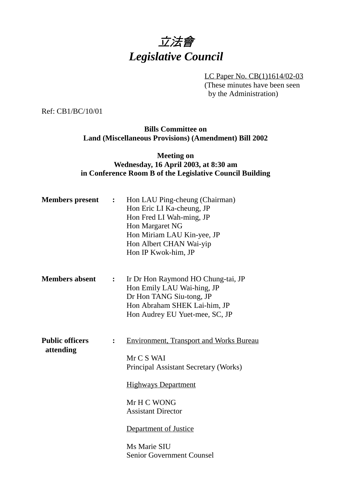

LC Paper No. CB(1)1614/02-03 (These minutes have been seen by the Administration)

Ref: CB1/BC/10/01

**Bills Committee on Land (Miscellaneous Provisions) (Amendment) Bill 2002**

## **Meeting on Wednesday, 16 April 2003, at 8:30 am in Conference Room B of the Legislative Council Building**

| <b>Members</b> present              | $\ddot{\cdot}$ | Hon LAU Ping-cheung (Chairman)<br>Hon Eric LI Ka-cheung, JP<br>Hon Fred LI Wah-ming, JP<br>Hon Margaret NG<br>Hon Miriam LAU Kin-yee, JP<br>Hon Albert CHAN Wai-yip<br>Hon IP Kwok-him, JP                                                                   |
|-------------------------------------|----------------|--------------------------------------------------------------------------------------------------------------------------------------------------------------------------------------------------------------------------------------------------------------|
| <b>Members absent</b>               | :              | Ir Dr Hon Raymond HO Chung-tai, JP<br>Hon Emily LAU Wai-hing, JP<br>Dr Hon TANG Siu-tong, JP<br>Hon Abraham SHEK Lai-him, JP<br>Hon Audrey EU Yuet-mee, SC, JP                                                                                               |
| <b>Public officers</b><br>attending |                | <b>Environment, Transport and Works Bureau</b><br>Mr C S WAI<br>Principal Assistant Secretary (Works)<br><b>Highways Department</b><br>Mr H C WONG<br><b>Assistant Director</b><br>Department of Justice<br>Ms Marie SIU<br><b>Senior Government Counsel</b> |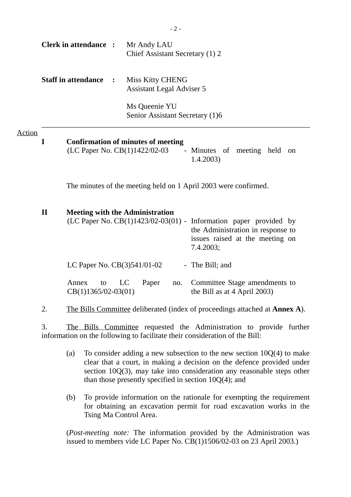|               |              | <b>Clerk in attendance :</b>         | Mr Andy LAU<br>Chief Assistant Secretary (1) 2                                                                                                                                                   |
|---------------|--------------|--------------------------------------|--------------------------------------------------------------------------------------------------------------------------------------------------------------------------------------------------|
|               |              | <b>Staff in attendance</b>           | Miss Kitty CHENG<br><b>Assistant Legal Adviser 5</b>                                                                                                                                             |
|               |              |                                      | Ms Queenie YU<br>Senior Assistant Secretary (1)6                                                                                                                                                 |
| <u>Action</u> | $\mathbf I$  |                                      | <b>Confirmation of minutes of meeting</b><br>(LC Paper No. CB(1)1422/02-03<br>- Minutes of meeting held<br>on<br>1.4.2003                                                                        |
|               |              |                                      | The minutes of the meeting held on 1 April 2003 were confirmed.                                                                                                                                  |
|               | $\mathbf{I}$ |                                      | <b>Meeting with the Administration</b><br>(LC Paper No. CB(1)1423/02-03(01) - Information paper provided by<br>the Administration in response to<br>issues raised at the meeting on<br>7.4.2003; |
|               |              | LC Paper No. $CB(3)541/01-02$        | - The Bill; and                                                                                                                                                                                  |
|               |              | Annex<br>to<br>$CB(1)1365/02-03(01)$ | LC<br>Paper<br>Committee Stage amendments to<br>no.<br>the Bill as at 4 April 2003)                                                                                                              |
|               | 2.           |                                      | The Bills Committee deliberated (index of proceedings attached at <b>Annex A</b> ).                                                                                                              |
|               | 3.           |                                      | The Bills Committee requested the Administration to provide further<br>information on the following to facilitate their consideration of the Bill:                                               |
|               |              | (a)                                  | To consider adding a new subsection to the new section $10Q(4)$ to make                                                                                                                          |

- clear that a court, in making a decision on the defence provided under section 10Q(3), may take into consideration any reasonable steps other than those presently specified in section 10Q(4); and
- (b) To provide information on the rationale for exempting the requirement for obtaining an excavation permit for road excavation works in the Tsing Ma Control Area.

(*Post-meeting note:* The information provided by the Administration was issued to members vide LC Paper No. CB(1)1506/02-03 on 23 April 2003.)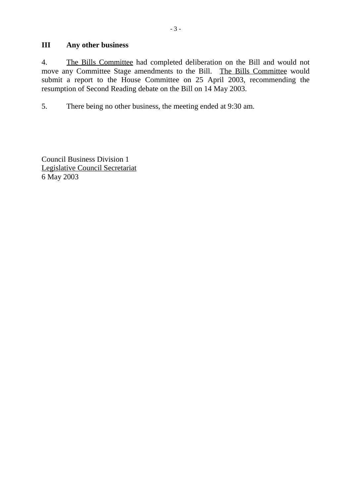## **III Any other business**

4. The Bills Committee had completed deliberation on the Bill and would not move any Committee Stage amendments to the Bill. The Bills Committee would submit a report to the House Committee on 25 April 2003, recommending the resumption of Second Reading debate on the Bill on 14 May 2003.

5. There being no other business, the meeting ended at 9:30 am.

Council Business Division 1 Legislative Council Secretariat 6 May 2003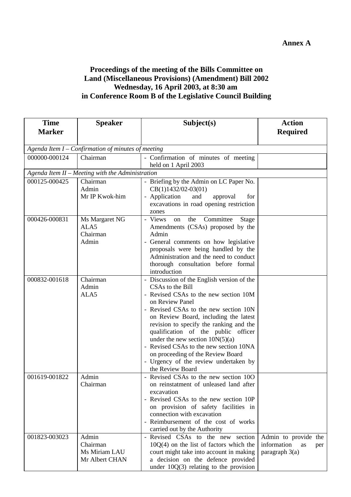## **Proceedings of the meeting of the Bills Committee on Land (Miscellaneous Provisions) (Amendment) Bill 2002 Wednesday, 16 April 2003, at 8:30 am in Conference Room B of the Legislative Council Building**

| <b>Time</b>   | <b>Speaker</b>                                       | Subject(s)                                                                    | <b>Action</b>            |  |  |
|---------------|------------------------------------------------------|-------------------------------------------------------------------------------|--------------------------|--|--|
| <b>Marker</b> |                                                      |                                                                               | <b>Required</b>          |  |  |
|               |                                                      |                                                                               |                          |  |  |
|               | Agenda Item $I$ – Confirmation of minutes of meeting |                                                                               |                          |  |  |
| 000000-000124 | Chairman                                             | - Confirmation of minutes of meeting                                          |                          |  |  |
|               |                                                      | held on 1 April 2003                                                          |                          |  |  |
|               | Agenda Item II - Meeting with the Administration     |                                                                               |                          |  |  |
| 000125-000425 | Chairman                                             | - Briefing by the Admin on LC Paper No.                                       |                          |  |  |
|               | Admin<br>Mr IP Kwok-him                              | $CB(1)1432/02-03(01)$<br>- Application<br>and<br>approval<br>for              |                          |  |  |
|               |                                                      | excavations in road opening restriction                                       |                          |  |  |
|               |                                                      | zones                                                                         |                          |  |  |
| 000426-000831 | Ms Margaret NG                                       | - Views<br>Committee<br>the<br>on<br>Stage                                    |                          |  |  |
|               | ALA5                                                 | Amendments (CSAs) proposed by the                                             |                          |  |  |
|               | Chairman                                             | Admin                                                                         |                          |  |  |
|               | Admin                                                | - General comments on how legislative                                         |                          |  |  |
|               |                                                      | proposals were being handled by the                                           |                          |  |  |
|               |                                                      | Administration and the need to conduct                                        |                          |  |  |
|               |                                                      | thorough consultation before formal                                           |                          |  |  |
|               |                                                      | introduction                                                                  |                          |  |  |
| 000832-001618 | Chairman<br>Admin                                    | - Discussion of the English version of the<br>CSAs to the Bill                |                          |  |  |
|               | ALA5                                                 | - Revised CSAs to the new section 10M                                         |                          |  |  |
|               |                                                      | on Review Panel                                                               |                          |  |  |
|               |                                                      | - Revised CSAs to the new section 10N                                         |                          |  |  |
|               |                                                      | on Review Board, including the latest                                         |                          |  |  |
|               |                                                      | revision to specify the ranking and the                                       |                          |  |  |
|               |                                                      | qualification of the public officer                                           |                          |  |  |
|               |                                                      | under the new section $10N(5)(a)$                                             |                          |  |  |
|               |                                                      | - Revised CSAs to the new section 10NA                                        |                          |  |  |
|               |                                                      | on proceeding of the Review Board                                             |                          |  |  |
|               |                                                      | - Urgency of the review undertaken by<br>the Review Board                     |                          |  |  |
| 001619-001822 | Admin                                                | - Revised CSAs to the new section 10O                                         |                          |  |  |
|               | Chairman                                             | on reinstatment of unleased land after                                        |                          |  |  |
|               |                                                      | excavation                                                                    |                          |  |  |
|               |                                                      | - Revised CSAs to the new section 10P                                         |                          |  |  |
|               |                                                      | on provision of safety facilities in                                          |                          |  |  |
|               |                                                      | connection with excavation                                                    |                          |  |  |
|               |                                                      | - Reimbursement of the cost of works                                          |                          |  |  |
|               |                                                      | carried out by the Authority                                                  |                          |  |  |
| 001823-003023 | Admin                                                | - Revised CSAs to the new section                                             | Admin to provide the     |  |  |
|               | Chairman<br>Ms Miriam LAU                            | $10Q(4)$ on the list of factors which the                                     | information<br>as<br>per |  |  |
|               | Mr Albert CHAN                                       | court might take into account in making<br>a decision on the defence provided | paragraph $3(a)$         |  |  |
|               |                                                      | under $10Q(3)$ relating to the provision                                      |                          |  |  |
|               |                                                      |                                                                               |                          |  |  |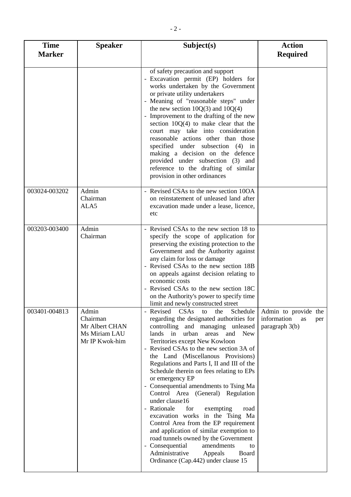| <b>Time</b><br><b>Marker</b> | <b>Speaker</b>                                                         | Subject(s)                                                                                                                                                                                                                                                                                                                                                                                                                                                                                                                                                                                                                                                                                                                                                                                                                                 | <b>Action</b><br><b>Required</b>                                   |
|------------------------------|------------------------------------------------------------------------|--------------------------------------------------------------------------------------------------------------------------------------------------------------------------------------------------------------------------------------------------------------------------------------------------------------------------------------------------------------------------------------------------------------------------------------------------------------------------------------------------------------------------------------------------------------------------------------------------------------------------------------------------------------------------------------------------------------------------------------------------------------------------------------------------------------------------------------------|--------------------------------------------------------------------|
|                              |                                                                        | of safety precaution and support<br>- Excavation permit (EP) holders for<br>works undertaken by the Government<br>or private utility undertakers<br>- Meaning of "reasonable steps" under<br>the new section $10Q(3)$ and $10Q(4)$<br>- Improvement to the drafting of the new<br>section $10Q(4)$ to make clear that the<br>court may take into consideration<br>reasonable actions other than those<br>specified under subsection (4) in<br>making a decision on the defence<br>provided under subsection (3) and<br>reference to the drafting of similar<br>provision in other ordinances                                                                                                                                                                                                                                               |                                                                    |
| 003024-003202                | Admin<br>Chairman<br>ALA5                                              | - Revised CSAs to the new section 10OA<br>on reinstatement of unleased land after<br>excavation made under a lease, licence,<br>etc                                                                                                                                                                                                                                                                                                                                                                                                                                                                                                                                                                                                                                                                                                        |                                                                    |
| 003203-003400                | Admin<br>Chairman                                                      | - Revised CSAs to the new section 18 to<br>specify the scope of application for<br>preserving the existing protection to the<br>Government and the Authority against<br>any claim for loss or damage<br>- Revised CSAs to the new section 18B<br>on appeals against decision relating to<br>economic costs<br>- Revised CSAs to the new section 18C<br>on the Authority's power to specify time<br>limit and newly constructed street                                                                                                                                                                                                                                                                                                                                                                                                      |                                                                    |
| 003401-004813                | Admin<br>Chairman<br>Mr Albert CHAN<br>Ms Miriam LAU<br>Mr IP Kwok-him | CSAs<br>- Revised<br>to<br>the<br>Schedule<br>regarding the designated authorities for<br>controlling and managing unleased<br>lands in<br>urban areas<br>and<br><b>New</b><br>Territories except New Kowloon<br>- Revised CSAs to the new section 3A of<br>the Land (Miscellanous Provisions)<br>Regulations and Parts I, II and III of the<br>Schedule therein on fees relating to EPs<br>or emergency EP<br>- Consequential amendments to Tsing Ma<br>Control Area (General) Regulation<br>under clause16<br>- Rationale<br>for<br>exempting<br>road<br>excavation works in the Tsing Ma<br>Control Area from the EP requirement<br>and application of similar exemption to<br>road tunnels owned by the Government<br>- Consequential<br>amendments<br>to<br>Administrative<br>Appeals<br>Board<br>Ordinance (Cap.442) under clause 15 | Admin to provide the<br>information<br>as<br>per<br>paragraph 3(b) |